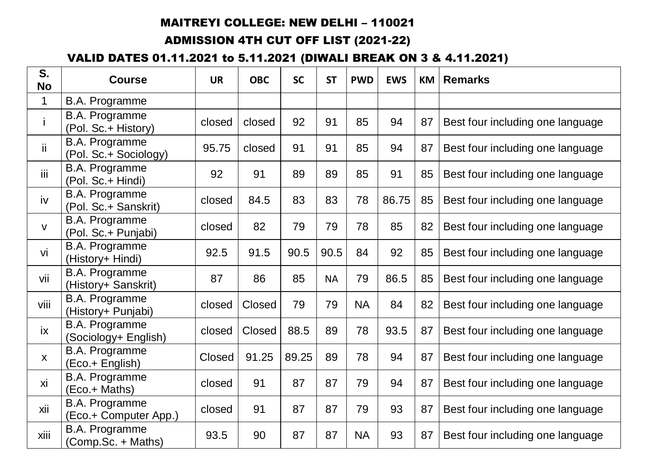#### ADMISSION 4TH CUT OFF LIST (2021-22)

## VALID DATES 01.11.2021 to 5.11.2021 (DIWALI BREAK ON 3 & 4.11.2021)

| S.<br><b>No</b> | <b>Course</b>                                 | <b>UR</b> | <b>OBC</b> | <b>SC</b> | <b>ST</b> | <b>PWD</b> | <b>EWS</b> | <b>KM</b> | <b>Remarks</b>                   |
|-----------------|-----------------------------------------------|-----------|------------|-----------|-----------|------------|------------|-----------|----------------------------------|
| $\mathbf 1$     | <b>B.A. Programme</b>                         |           |            |           |           |            |            |           |                                  |
|                 | B.A. Programme<br>(Pol. Sc.+ History)         | closed    | closed     | 92        | 91        | 85         | 94         | 87        | Best four including one language |
| ii.             | B.A. Programme<br>(Pol. Sc.+ Sociology)       | 95.75     | closed     | 91        | 91        | 85         | 94         | 87        | Best four including one language |
| iii             | <b>B.A. Programme</b><br>(Pol. Sc.+ Hindi)    | 92        | 91         | 89        | 89        | 85         | 91         | 85        | Best four including one language |
| iv              | <b>B.A. Programme</b><br>(Pol. Sc.+ Sanskrit) | closed    | 84.5       | 83        | 83        | 78         | 86.75      | 85        | Best four including one language |
| $\mathsf{V}$    | B.A. Programme<br>(Pol. Sc.+ Punjabi)         | closed    | 82         | 79        | 79        | 78         | 85         | 82        | Best four including one language |
| vi              | <b>B.A. Programme</b><br>(History+ Hindi)     | 92.5      | 91.5       | 90.5      | 90.5      | 84         | 92         | 85        | Best four including one language |
| vii             | <b>B.A. Programme</b><br>(History+ Sanskrit)  | 87        | 86         | 85        | <b>NA</b> | 79         | 86.5       | 85        | Best four including one language |
| viii            | <b>B.A. Programme</b><br>(History+ Punjabi)   | closed    | Closed     | 79        | 79        | <b>NA</b>  | 84         | 82        | Best four including one language |
| $i\mathsf{x}$   | <b>B.A. Programme</b><br>(Sociology+ English) | closed    | Closed     | 88.5      | 89        | 78         | 93.5       | 87        | Best four including one language |
| $\mathsf{X}$    | <b>B.A. Programme</b><br>(Eco.+ English)      | Closed    | 91.25      | 89.25     | 89        | 78         | 94         | 87        | Best four including one language |
| xi              | <b>B.A. Programme</b><br>(Eco.+ Maths)        | closed    | 91         | 87        | 87        | 79         | 94         | 87        | Best four including one language |
| xii             | B.A. Programme<br>(Eco.+ Computer App.)       | closed    | 91         | 87        | 87        | 79         | 93         | 87        | Best four including one language |
| xiii            | <b>B.A. Programme</b><br>(Comp.Sc. + Maths)   | 93.5      | 90         | 87        | 87        | <b>NA</b>  | 93         | 87        | Best four including one language |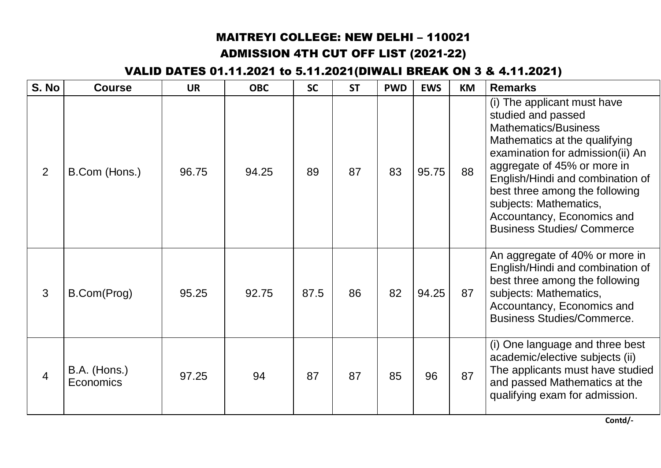## ADMISSION 4TH CUT OFF LIST (2021-22)

## VALID DATES 01.11.2021 to 5.11.2021(DIWALI BREAK ON 3 & 4.11.2021)

| S. No          | <b>Course</b>                    | <b>UR</b> | <b>OBC</b> | <b>SC</b> | <b>ST</b> | <b>PWD</b> | <b>EWS</b> | <b>KM</b> | <b>Remarks</b>                                                                                                                                                                                                                                                                                                                                          |
|----------------|----------------------------------|-----------|------------|-----------|-----------|------------|------------|-----------|---------------------------------------------------------------------------------------------------------------------------------------------------------------------------------------------------------------------------------------------------------------------------------------------------------------------------------------------------------|
| 2              | B.Com (Hons.)                    | 96.75     | 94.25      | 89        | 87        | 83         | 95.75      | 88        | (i) The applicant must have<br>studied and passed<br><b>Mathematics/Business</b><br>Mathematics at the qualifying<br>examination for admission(ii) An<br>aggregate of 45% or more in<br>English/Hindi and combination of<br>best three among the following<br>subjects: Mathematics,<br>Accountancy, Economics and<br><b>Business Studies/ Commerce</b> |
| 3              | B.Com(Prog)                      | 95.25     | 92.75      | 87.5      | 86        | 82         | 94.25      | 87        | An aggregate of 40% or more in<br>English/Hindi and combination of<br>best three among the following<br>subjects: Mathematics,<br>Accountancy, Economics and<br><b>Business Studies/Commerce.</b>                                                                                                                                                       |
| $\overline{4}$ | B.A. (Hons.)<br><b>Economics</b> | 97.25     | 94         | 87        | 87        | 85         | 96         | 87        | (i) One language and three best<br>academic/elective subjects (ii)<br>The applicants must have studied<br>and passed Mathematics at the<br>qualifying exam for admission.                                                                                                                                                                               |

**Contd/-**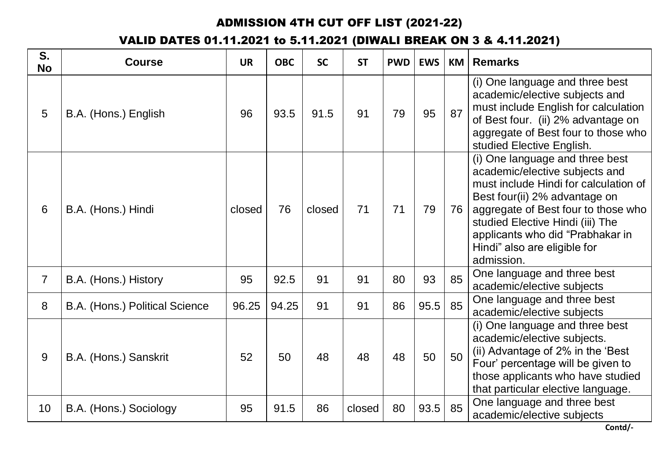## ADMISSION 4TH CUT OFF LIST (2021-22)

VALID DATES 01.11.2021 to 5.11.2021 (DIWALI BREAK ON 3 & 4.11.2021)

| S.<br><b>No</b> | <b>Course</b>                  | <b>UR</b> | <b>OBC</b> | <b>SC</b> | <b>ST</b> | <b>PWD</b> | <b>EWS</b> | <b>KM</b> | <b>Remarks</b>                                                                                                                                                                                                                                                                                           |
|-----------------|--------------------------------|-----------|------------|-----------|-----------|------------|------------|-----------|----------------------------------------------------------------------------------------------------------------------------------------------------------------------------------------------------------------------------------------------------------------------------------------------------------|
| 5               | B.A. (Hons.) English           | 96        | 93.5       | 91.5      | 91        | 79         | 95         | 87        | (i) One language and three best<br>academic/elective subjects and<br>must include English for calculation<br>of Best four. (ii) 2% advantage on<br>aggregate of Best four to those who<br>studied Elective English.                                                                                      |
| 6               | B.A. (Hons.) Hindi             | closed    | 76         | closed    | 71        | 71         | 79         | 76        | (i) One language and three best<br>academic/elective subjects and<br>must include Hindi for calculation of<br>Best four(ii) 2% advantage on<br>aggregate of Best four to those who<br>studied Elective Hindi (iii) The<br>applicants who did "Prabhakar in<br>Hindi" also are eligible for<br>admission. |
| $\overline{7}$  | B.A. (Hons.) History           | 95        | 92.5       | 91        | 91        | 80         | 93         | 85        | One language and three best<br>academic/elective subjects                                                                                                                                                                                                                                                |
| 8               | B.A. (Hons.) Political Science | 96.25     | 94.25      | 91        | 91        | 86         | 95.5       | 85        | One language and three best<br>academic/elective subjects                                                                                                                                                                                                                                                |
| 9               | B.A. (Hons.) Sanskrit          | 52        | 50         | 48        | 48        | 48         | 50         | 50        | (i) One language and three best<br>academic/elective subjects.<br>(ii) Advantage of 2% in the 'Best<br>Four' percentage will be given to<br>those applicants who have studied<br>that particular elective language.                                                                                      |
| 10              | B.A. (Hons.) Sociology         | 95        | 91.5       | 86        | closed    | 80         | 93.5       | 85        | One language and three best<br>academic/elective subjects                                                                                                                                                                                                                                                |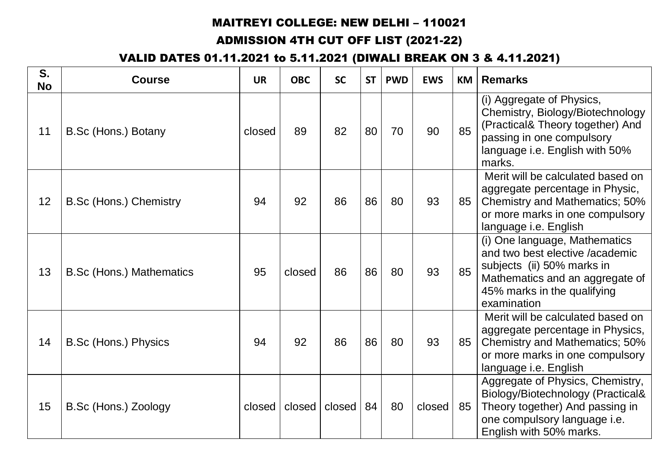#### ADMISSION 4TH CUT OFF LIST (2021-22)

## VALID DATES 01.11.2021 to 5.11.2021 (DIWALI BREAK ON 3 & 4.11.2021)

| S.<br><b>No</b> | <b>Course</b>                   | <b>UR</b> | <b>OBC</b> | <b>SC</b> | <b>ST</b> | <b>PWD</b> | <b>EWS</b> | <b>KM</b> | <b>Remarks</b>                                                                                                                                                                  |
|-----------------|---------------------------------|-----------|------------|-----------|-----------|------------|------------|-----------|---------------------------------------------------------------------------------------------------------------------------------------------------------------------------------|
| 11              | B.Sc (Hons.) Botany             | closed    | 89         | 82        | 80        | 70         | 90         | 85        | (i) Aggregate of Physics,<br>Chemistry, Biology/Biotechnology<br>(Practical& Theory together) And<br>passing in one compulsory<br>language i.e. English with 50%<br>marks.      |
| 12              | <b>B.Sc (Hons.) Chemistry</b>   | 94        | 92         | 86        | 86        | 80         | 93         | 85        | Merit will be calculated based on<br>aggregate percentage in Physic,<br>Chemistry and Mathematics; 50%<br>or more marks in one compulsory<br>language <i>i.e.</i> English       |
| 13              | <b>B.Sc (Hons.) Mathematics</b> | 95        | closed     | 86        | 86        | 80         | 93         | 85        | (i) One language, Mathematics<br>and two best elective /academic<br>subjects (ii) 50% marks in<br>Mathematics and an aggregate of<br>45% marks in the qualifying<br>examination |
| 14              | B.Sc (Hons.) Physics            | 94        | 92         | 86        | 86        | 80         | 93         | 85        | Merit will be calculated based on<br>aggregate percentage in Physics,<br>Chemistry and Mathematics; 50%<br>or more marks in one compulsory<br>language i.e. English             |
| 15              | B.Sc (Hons.) Zoology            | closed    | closed     | closed    | 84        | 80         | closed     | 85        | Aggregate of Physics, Chemistry,<br>Biology/Biotechnology (Practical&<br>Theory together) And passing in<br>one compulsory language i.e.<br>English with 50% marks.             |